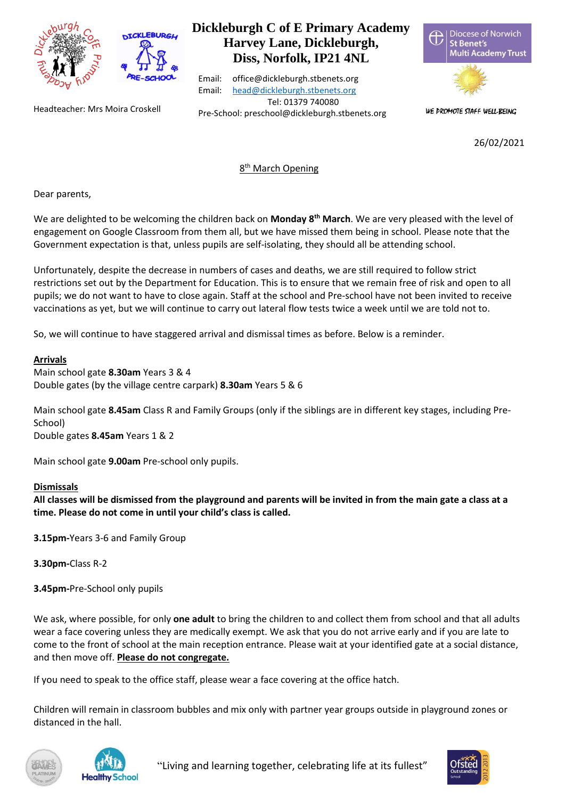



#### Headteacher: Mrs Moira Croskell

# **Dickleburgh C of E Primary Academy Harvey Lane, Dickleburgh, Diss, Norfolk, IP21 4NL**

Email: office@dickleburgh.stbenets.org Email: [head@dickleburgh.stbenets.org](mailto:head@dickleburgh.stbenets.org) Tel: 01379 740080 Pre-School: preschool@dickleburgh.stbenets.org





WE PROMOTE STAFF WELL-BEING

26/02/2021

# 8<sup>th</sup> March Opening

Dear parents,

We are delighted to be welcoming the children back on **Monday 8th March**. We are very pleased with the level of engagement on Google Classroom from them all, but we have missed them being in school. Please note that the Government expectation is that, unless pupils are self-isolating, they should all be attending school.

Unfortunately, despite the decrease in numbers of cases and deaths, we are still required to follow strict restrictions set out by the Department for Education. This is to ensure that we remain free of risk and open to all pupils; we do not want to have to close again. Staff at the school and Pre-school have not been invited to receive vaccinations as yet, but we will continue to carry out lateral flow tests twice a week until we are told not to.

So, we will continue to have staggered arrival and dismissal times as before. Below is a reminder.

#### **Arrivals**

Main school gate **8.30am** Years 3 & 4 Double gates (by the village centre carpark) **8.30am** Years 5 & 6

Main school gate **8.45am** Class R and Family Groups (only if the siblings are in different key stages, including Pre-School)

Double gates **8.45am** Years 1 & 2

Main school gate **9.00am** Pre-school only pupils.

#### **Dismissals**

**All classes will be dismissed from the playground and parents will be invited in from the main gate a class at a time. Please do not come in until your child's class is called.**

**3.15pm-**Years 3-6 and Family Group

**3.30pm-**Class R-2

**3.45pm-**Pre-School only pupils

We ask, where possible, for only **one adult** to bring the children to and collect them from school and that all adults wear a face covering unless they are medically exempt. We ask that you do not arrive early and if you are late to come to the front of school at the main reception entrance. Please wait at your identified gate at a social distance, and then move off. **Please do not congregate.**

If you need to speak to the office staff, please wear a face covering at the office hatch.

Children will remain in classroom bubbles and mix only with partner year groups outside in playground zones or distanced in the hall.